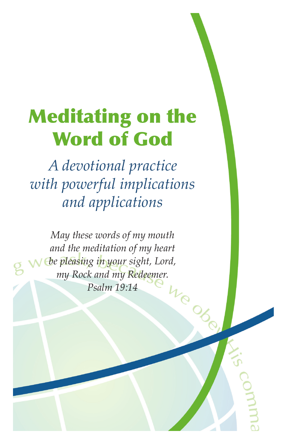# Meditating on the Word of God

*A devotional practice with powerful implications and applications*

*May these words of my mouth and the meditation of my heart be pleasing in your sight, Lord,* my Rock and my Redeemer.<br>Psalm 19:14 *Psalm 19:14*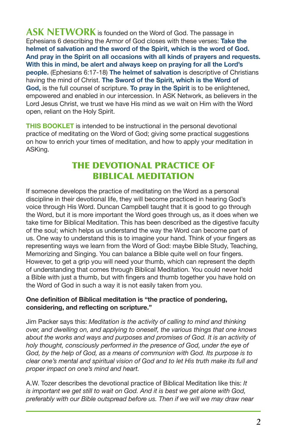**ASK NETWORK** is founded on the Word of God. The passage in Ephesians 6 describing the Armor of God closes with these verses: **Take the helmet of salvation and the sword of the Spirit, which is the word of God. And pray in the Spirit on all occasions with all kinds of prayers and requests. With this in mind, be alert and always keep on praying for all the Lord's people.** (Ephesians 6:17-18) **The helmet of salvation** is descriptive of Christians having the mind of Christ. **The Sword of the Spirit, which is the Word of God,** is the full counsel of scripture. **To pray in the Spirit** is to be enlightened, empowered and enabled in our intercession. In ASK Network, as believers in the Lord Jesus Christ, we trust we have His mind as we wait on Him with the Word open, reliant on the Holy Spirit.

**THIS BOOKLET** is intended to be instructional in the personal devotional practice of meditating on the Word of God; giving some practical suggestions on how to enrich your times of meditation, and how to apply your meditation in ASKing.

#### THE DEVOTIONAL PRACTICE OF BIBLICAL MEDITATION

If someone develops the practice of meditating on the Word as a personal discipline in their devotional life, they will become practiced in hearing God's voice through His Word. Duncan Campbell taught that it is good to go through the Word, but it is more important the Word goes through us, as it does when we take time for Biblical Meditation. This has been described as the digestive faculty of the soul; which helps us understand the way the Word can become part of us. One way to understand this is to imagine your hand. Think of your fingers as representing ways we learn from the Word of God: maybe Bible Study, Teaching, Memorizing and Singing. You can balance a Bible quite well on four fingers. However, to get a grip you will need your thumb, which can represent the depth of understanding that comes through Biblical Meditation. You could never hold a Bible with just a thumb, but with fingers and thumb together you have hold on the Word of God in such a way it is not easily taken from you.

#### **One definition of Biblical meditation is "the practice of pondering, considering, and reflecting on scripture."**

Jim Packer says this: *Meditation is the activity of calling to mind and thinking over, and dwelling on, and applying to oneself, the various things that one knows*  about the works and ways and purposes and promises of God. It is an activity of *holy thought, consciously performed in the presence of God, under the eye of God, by the help of God, as a means of communion with God. Its purpose is to clear one's mental and spiritual vision of God and to let His truth make its full and proper impact on one's mind and heart.* 

A.W. Tozer describes the devotional practice of Biblical Meditation like this: *It*  is important we get still to wait on God. And it is best we get alone with God, *preferably with our Bible outspread before us. Then if we will we may draw near*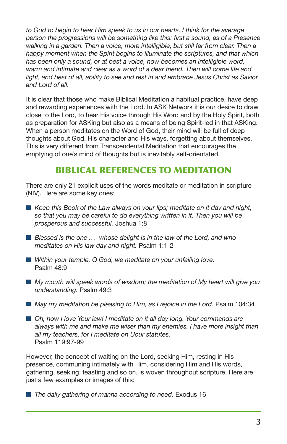*to God to begin to hear Him speak to us in our hearts. I think for the average person the progressions will be something like this: first a sound, as of a Presence walking in a garden. Then a voice, more intelligible, but still far from clear. Then a happy moment when the Spirit begins to illuminate the scriptures, and that which has been only a sound, or at best a voice, now becomes an intelligible word,*  warm and intimate and clear as a word of a dear friend. Then will come life and *light, and best of all, ability to see and rest in and embrace Jesus Christ as Savior and Lord of all.*

It is clear that those who make Biblical Meditation a habitual practice, have deep and rewarding experiences with the Lord. In ASK Network it is our desire to draw close to the Lord, to hear His voice through His Word and by the Holy Spirit, both as preparation for ASKing but also as a means of being Spirit-led in that ASKing. When a person meditates on the Word of God, their mind will be full of deep thoughts about God, His character and His ways, forgetting about themselves. This is very different from Transcendental Meditation that encourages the emptying of one's mind of thoughts but is inevitably self-orientated.

## BIBLICAL REFERENCES TO MEDITATION

There are only 21 explicit uses of the words meditate or meditation in scripture (NIV). Here are some key ones:

- Keep this Book of the Law always on your lips; meditate on it day and night, *so that you may be careful to do everything written in it. Then you will be prosperous and successful.* Joshua 1:8
- *Blessed is the one ...* whose delight is in the law of the Lord, and who *meditates on His law day and night.* Psalm 1:1-2
- Within your temple, O God, we meditate on your unfailing love. Psalm 48:9
- My mouth will speak words of wisdom; the meditation of My heart will give you *understanding.* Psalm 49:3
- May my meditation be pleasing to Him, as I rejoice in the Lord. Psalm 104:34
- Oh, how I love Your law! I meditate on it all day long. Your commands are *always with me and make me wiser than my enemies. I have more insight than all my teachers, for I meditate on Uour statutes.*  Psalm 119:97-99

However, the concept of waiting on the Lord, seeking Him, resting in His presence, communing intimately with Him, considering Him and His words, gathering, seeking, feasting and so on, is woven throughout scripture. Here are just a few examples or images of this:

■ The daily gathering of manna according to need. Exodus 16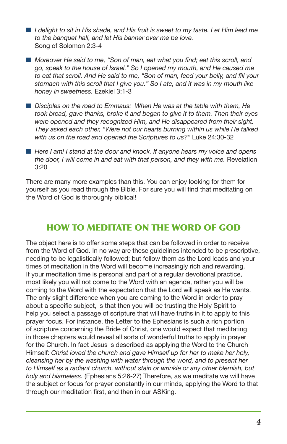- *I delight to sit in His shade, and His fruit is sweet to my taste. Let Him lead me to the banquet hall, and let His banner over me be love.*  Song of Solomon 2:3-4
- Moreover He said to me, "Son of man, eat what you find; eat this scroll, and *go, speak to the house of Israel." So I opened my mouth, and He caused me to eat that scroll. And He said to me, "Son of man, feed your belly, and fill your stomach with this scroll that I give you." So I ate, and it was in my mouth like honey in sweetness.* Ezekiel 3:1-3
- n *Disciples on the road to Emmaus: When He was at the table with them, He took bread, gave thanks, broke it and began to give it to them. Then their eyes were opened and they recognized Him, and He disappeared from their sight. They asked each other, "Were not our hearts burning within us while He talked with us on the road and opened the Scriptures to us?"* Luke 24:30-32
- Here I am! I stand at the door and knock. If anyone hears my voice and opens *the door, I will come in and eat with that person, and they with me. Revelation*  $3:20$

There are many more examples than this. You can enjoy looking for them for yourself as you read through the Bible. For sure you will find that meditating on the Word of God is thoroughly biblical!

#### HOW TO MEDITATE ON THE WORD OF GOD

The object here is to offer some steps that can be followed in order to receive from the Word of God. In no way are these guidelines intended to be prescriptive, needing to be legalistically followed; but follow them as the Lord leads and your times of meditation in the Word will become increasingly rich and rewarding. If your meditation time is personal and part of a regular devotional practice, most likely you will not come to the Word with an agenda, rather you will be coming to the Word with the expectation that the Lord will speak as He wants. The only slight difference when you are coming to the Word in order to pray about a specific subject, is that then you will be trusting the Holy Spirit to help you select a passage of scripture that will have truths in it to apply to this prayer focus. For instance, the Letter to the Ephesians is such a rich portion of scripture concerning the Bride of Christ, one would expect that meditating in those chapters would reveal all sorts of wonderful truths to apply in prayer for the Church. In fact Jesus is described as applying the Word to the Church Himself: *Christ loved the church and gave Himself up for her to make her holy, cleansing her by the washing with water through the word, and to present her to Himself as a radiant church, without stain or wrinkle or any other blemish, but holy and blameless.* (Ephesians 5:26-27) Therefore, as we meditate we will have the subject or focus for prayer constantly in our minds, applying the Word to that through our meditation first, and then in our ASKing.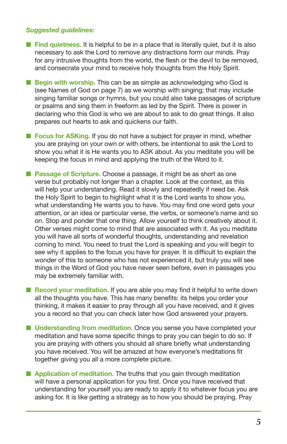#### *Suggested guidelines:*

- **Find quietness.** It is helpful to be in a place that is literally quiet, but it is also necessary to ask the Lord to remove any distractions form our minds. Pray for any intrusive thoughts from the world, the flesh or the devil to be removed, and consecrate your mind to receive holy thoughts from the Holy Spirit.
- Begin with worship. This can be as simple as acknowledging who God is (see Names of God on page 7) as we worship with singing; that may include singing familiar songs or hymns, but you could also take passages of scripture or psalms and sing them in freeform as led by the Spirit. There is power in declaring who this God is who we are about to ask to do great things. It also prepares out hearts to ask and quickens our faith.
- **n Focus for ASKing.** If you do not have a subject for prayer in mind, whether you are praying on your own or with others, be intentional to ask the Lord to show you what it is He wants you to ASK about. As you meditate you will be keeping the focus in mind and applying the truth of the Word to it.
- Passage of Scripture. Choose a passage, it might be as short as one verse but probably not longer than a chapter. Look at the context, as this will help your understanding. Read it slowly and repeatedly if need be. Ask the Holy Spirit to begin to highlight what it is the Lord wants to show you, what understanding He wants you to have. You may find one word gets your attention, or an idea or particular verse, the verbs, or someone's name and so on. Stop and ponder that one thing. Allow yourself to think creatively about it. Other verses might come to mind that are associated with it. As you meditate you will have all sorts of wonderful thoughts, understanding and revelation coming to mind. You need to trust the Lord is speaking and you will begin to see why it applies to the focus you have for prayer. It is difficult to explain the wonder of this to someone who has not experienced it, but truly you will see things in the Word of God you have never seen before, even in passages you may be extremely familiar with.
- **Record your meditation.** If you are able you may find it helpful to write down all the thoughts you have. This has many benefits: its helps you order your thinking, it makes it easier to pray through all you have received, and it gives you a record so that you can check later how God answered your prayers.
- Understanding from meditation. Once you sense you have completed your meditation and have some specific things to pray you can begin to do so. If you are praying with others you should all share briefly what understanding you have received. You will be amazed at how everyone's meditations fit together giving you all a more complete picture.
- **n Application of meditation.** The truths that you gain through meditation will have a personal application for you first. Once you have received that understanding for yourself you are ready to apply it to whatever focus you are asking for. It is like getting a strategy as to how you should be praying. Pray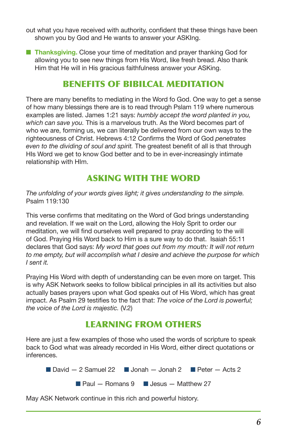out what you have received with authority, confident that these things have been shown you by God and He wants to answer your ASKIng.

**n Thanksgiving.** Close your time of meditation and prayer thanking God for allowing you to see new things from His Word, like fresh bread. Also thank Him that He will in His gracious faithfulness answer your ASKing.

## BENEFITS OF BIBILCAL MEDITATION

There are many benefits to mediating in the Word fo God. One way to get a sense of how many blessings there are is to read through Pslam 119 where numerous examples are listed. James 1:21 says: *humbly accept the word planted in you, which can save you.* This is a marvelous truth. As the Word becomes part of who we are, forming us, we can literally be delivered from our own ways to the righteousness of Christ. Hebrews 4:12 Confirms the Word of God *penetrates even to the dividing of soul and spirit.* The greatest benefit of all is that through HIs Word we get to know God better and to be in ever-increasingly intimate relationship with HIm.

## ASKING WITH THE WORD

*The unfolding of your words gives light; it gives understanding to the simple.* Psalm 119:130

This verse confirms that meditating on the Word of God brings understanding and revelation. If we wait on the Lord, allowing the Holy Sprit to order our meditation, we will find ourselves well prepared to pray according to the will of God. Praying His Word back to Him is a sure way to do that. Isaiah 55:11 declares that God says: *My word that goes out from my mouth: It will not return to me empty, but will accomplish what I desire and achieve the purpose for which I sent it.*

Praying His Word with depth of understanding can be even more on target. This is why ASK Network seeks to follow biblical principles in all its activities but also actually bases prayers upon what God speaks out of His Word, which has great impact. As Psalm 29 testifies to the fact that: *The voice of the Lord is powerful; the voice of the Lord is majestic.* (V.2)

#### LEARNING FROM OTHERS

Here are just a few examples of those who used the words of scripture to speak back to God what was already recorded in His Word, either direct quotations or inferences.

**n** David  $-2$  Samuel 22 **n** Jonah  $-$  Jonah 2 **n** Peter  $-$  Acts 2  $\blacksquare$  Paul — Romans 9  $\blacksquare$  Jesus — Matthew 27

May ASK Network continue in this rich and powerful history.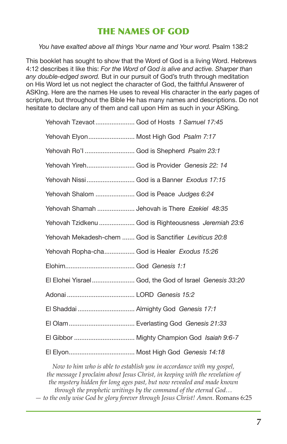#### THE NAMES OF GOD

*You have exalted above all things Your name and Your word.* Psalm 138:2

This booklet has sought to show that the Word of God is a living Word. Hebrews 4:12 describes it like this: *For the Word of God is alive and active. Sharper than any double-edged sword.* But in our pursuit of God's truth through meditation on His Word let us not neglect the character of God, the faithful Answerer of ASKIng. Here are the names He uses to reveal His character in the early pages of scripture, but throughout the Bible He has many names and descriptions. Do not hesitate to declare any of them and call upon Him as such in your ASKing.

| Yehovah Tzevaot God of Hosts 1 Samuel 17:45             |
|---------------------------------------------------------|
| Yehovah Elyon Most High God Psalm 7:17                  |
| Yehovah Ro'l  God is Shepherd Psalm 23:1                |
| Yehovah Yireh God is Provider Genesis 22: 14            |
| Yehovah Nissi God is a Banner Exodus 17:15              |
| Yehovah Shalom  God is Peace Judges 6:24                |
| Yehovah Shamah  Jehovah is There Ezekiel 48:35          |
| Yehovah Tzidkenu  God is Righteousness Jeremiah 23:6    |
| Yehovah Mekadesh-chem  God is Sanctifier Leviticus 20:8 |
| Yehovah Ropha-cha God is Healer Exodus 15:26            |
|                                                         |
| El Elohei Yisrael God, the God of Israel Genesis 33:20  |
|                                                         |
|                                                         |
|                                                         |
|                                                         |
|                                                         |

*Now to him who is able to establish you in accordance with my gospel, the message I proclaim about Jesus Christ, in keeping with the revelation of the mystery hidden for long ages past, but now revealed and made known through the prophetic writings by the command of the eternal God… — to the only wise God be glory forever through Jesus Christ! Amen.* Romans 6:25